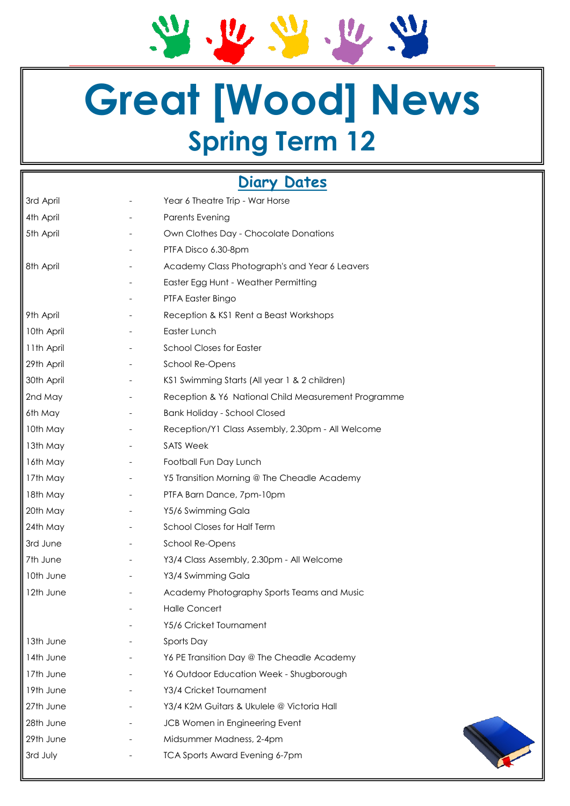21. 22. 22. 22. 22

## **Great [Wood] News Spring Term 12**

### **Diary Dates**

| 3rd April  |  | Year 6 Theatre Trip - War Horse                     |  |  |
|------------|--|-----------------------------------------------------|--|--|
| 4th April  |  | <b>Parents Evening</b>                              |  |  |
| 5th April  |  | Own Clothes Day - Chocolate Donations               |  |  |
|            |  | PTFA Disco 6.30-8pm                                 |  |  |
| 8th April  |  | Academy Class Photograph's and Year 6 Leavers       |  |  |
|            |  | Easter Egg Hunt - Weather Permitting                |  |  |
|            |  | PTFA Easter Bingo                                   |  |  |
| 9th April  |  | Reception & KS1 Rent a Beast Workshops              |  |  |
| 10th April |  | Easter Lunch                                        |  |  |
| 11th April |  | <b>School Closes for Easter</b>                     |  |  |
| 29th April |  | School Re-Opens                                     |  |  |
| 30th April |  | KS1 Swimming Starts (All year 1 & 2 children)       |  |  |
| 2nd May    |  | Reception & Y6 National Child Measurement Programme |  |  |
| 6th May    |  | <b>Bank Holiday - School Closed</b>                 |  |  |
| 10th May   |  | Reception/Y1 Class Assembly, 2.30pm - All Welcome   |  |  |
| 13th May   |  | <b>SATS Week</b>                                    |  |  |
| 16th May   |  | Football Fun Day Lunch                              |  |  |
| 17th May   |  | Y5 Transition Morning @ The Cheadle Academy         |  |  |
| 18th May   |  | PTFA Barn Dance, 7pm-10pm                           |  |  |
| 20th May   |  | Y5/6 Swimming Gala                                  |  |  |
| 24th May   |  | <b>School Closes for Half Term</b>                  |  |  |
| 3rd June   |  | School Re-Opens                                     |  |  |
| 7th June   |  | Y3/4 Class Assembly, 2.30pm - All Welcome           |  |  |
| 10th June  |  | Y3/4 Swimming Gala                                  |  |  |
| 12th June  |  | Academy Photography Sports Teams and Music          |  |  |
|            |  | <b>Halle Concert</b>                                |  |  |
|            |  | Y5/6 Cricket Tournament                             |  |  |
| 13th June  |  | Sports Day                                          |  |  |
| 14th June  |  | Y6 PE Transition Day @ The Cheadle Academy          |  |  |
| 17th June  |  | Y6 Outdoor Education Week - Shugborough             |  |  |
| 19th June  |  | Y3/4 Cricket Tournament                             |  |  |
| 27th June  |  | Y3/4 K2M Guitars & Ukulele @ Victoria Hall          |  |  |
| 28th June  |  | JCB Women in Engineering Event                      |  |  |
| 29th June  |  | Midsummer Madness, 2-4pm                            |  |  |
| 3rd July   |  | <b>TCA Sports Award Evening 6-7pm</b>               |  |  |
|            |  |                                                     |  |  |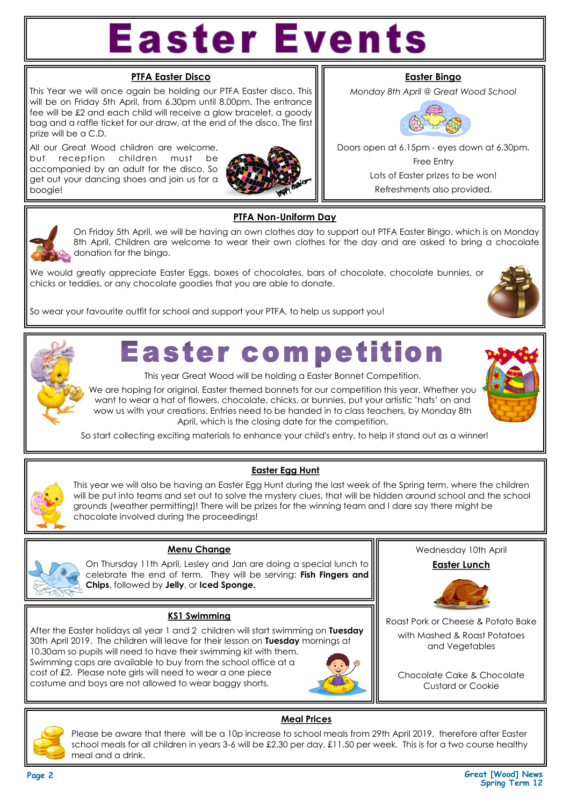# **Easter Events**

#### **PTFA Easter Disco**

This Year we will once again be holding our PTFA Easter disco. This will be on Friday 5th April, from 6.30pm until 8.00pm. The entrance fee will be £2 and each child will receive a glow bracelet, a goody bag and a raffle ticket for our draw, at the end of the disco. The first prize will be a C.D.

All our Great Wood children are welcome, but reception children must be accompanied by an adult for the disco. So get out your dancing shoes and join us for a boogie!



#### **Easter Bingo**

*Monday 8th April @ Great Wood School*



Doors open at 6.15pm - eyes down at 6.30pm. Free Entry Lots of Easter prizes to be won! Refreshments also provided.



#### **PTFA Non-Uniform Day**

On Friday 5th April, we will be having an own clothes day to support out PTFA Easter Bingo, which is on Monday 8th April. Children are welcome to wear their own clothes for the day and are asked to bring a chocolate donation for the bingo.

We would greatly appreciate Easter Eggs, boxes of chocolates, bars of chocolate, chocolate bunnies, or chicks or teddies, or any chocolate goodies that you are able to donate.



So wear your favourite outfit for school and support your PTFA, to help us support you!



### **Easter competition**

This year Great Wood will be holding a Easter Bonnet Competition.

We are hoping for original, Easter themed bonnets for our competition this year. Whether you want to wear a hat of flowers, chocolate, chicks, or bunnies, put your artistic 'hats' on and wow us with your creations. Entries need to be handed in to class teachers, by Monday 8th April, which is the closing date for the competition.



So start collecting exciting materials to enhance your child's entry, to help it stand out as a winner!

#### **Easter Egg Hunt**

This year we will also be having an Easter Egg Hunt during the last week of the Spring term, where the children will be put into teams and set out to solve the mystery clues, that will be hidden around school and the school grounds (weather permitting)! There will be prizes for the winning team and I dare say there might be chocolate involved during the proceedings!



#### **Menu Change**

On Thursday 11th April, Lesley and Jan are doing a special lunch to celebrate the end of term. They will be serving: **Fish Fingers and Chips**, followed by **Jelly**, or **Iced Sponge.**

#### **KS1 Swimming**

After the Easter holidays all year 1 and 2 children will start swimming on **Tuesday**  30th April 2019. The children will leave for their lesson on **Tuesday** mornings at 10.30am so pupils will need to have their swimming kit with them. Swimming caps are available to buy from the school office at a cost of £2. Please note girls will need to wear a one piece costume and boys are not allowed to wear baggy shorts.



Wednesday 10th April

**Easter Lunch** 



Roast Pork or Cheese & Potato Bake

with Mashed & Roast Potatoes and Vegetables

Chocolate Cake & Chocolate Custard or Cookie



#### **Meal Prices**

Please be aware that there will be a 10p increase to school meals from 29th April 2019, therefore after Easter school meals for all children in years 3-6 will be £2.30 per day, £11.50 per week. This is for a two course healthy meal and a drink.